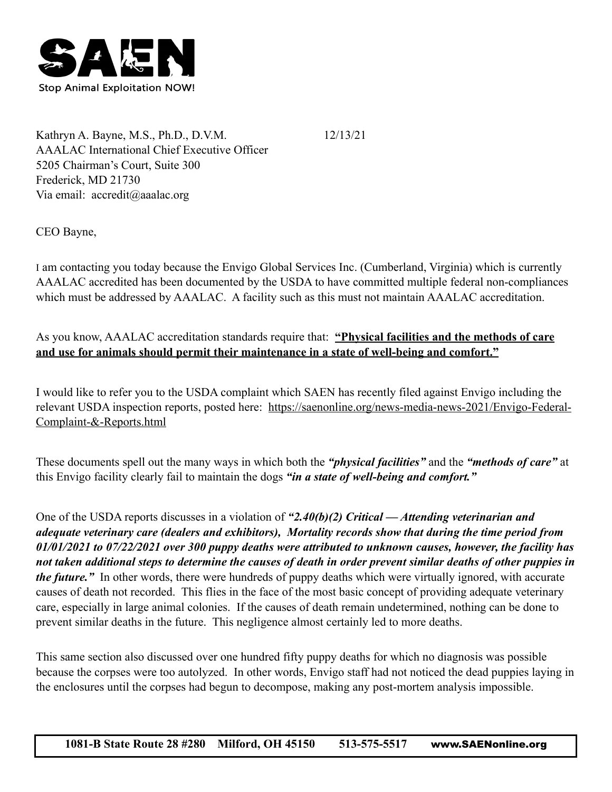

Kathryn A. Bayne, M.S., Ph.D., D.V.M. 12/13/21 AAALAC International Chief Executive Officer 5205 Chairman's Court, Suite 300 Frederick, MD 21730 Via email: accredit@aaalac.org

CEO Bayne,

I am contacting you today because the Envigo Global Services Inc. (Cumberland, Virginia) which is currently AAALAC accredited has been documented by the USDA to have committed multiple federal non-compliances which must be addressed by AAALAC. A facility such as this must not maintain AAALAC accreditation.

As you know, AAALAC accreditation standards require that: **"Physical facilities and the methods of care and use for animals should permit their maintenance in a state of well-being and comfort."**

I would like to refer you to the USDA complaint which SAEN has recently filed against Envigo including the relevant USDA inspection reports, posted here: [https://saenonline.org/news-media-news-2021/Envigo-Federal-](https://saenonline.org/news-media-news-2021/Envigo-Federal-Complaint-&-Reports.html)[Complaint-&-Reports.html](https://saenonline.org/news-media-news-2021/Envigo-Federal-Complaint-&-Reports.html)

These documents spell out the many ways in which both the *"physical facilities"* and the *"methods of care"* at this Envigo facility clearly fail to maintain the dogs *"in a state of well-being and comfort."* 

One of the USDA reports discusses in a violation of *"2.40(b)(2) Critical — Attending veterinarian and adequate veterinary care (dealers and exhibitors), Mortality records show that during the time period from 01/01/2021 to 07/22/2021 over 300 puppy deaths were attributed to unknown causes, however, the facility has not taken additional steps to determine the causes of death in order prevent similar deaths of other puppies in the future."* In other words, there were hundreds of puppy deaths which were virtually ignored, with accurate causes of death not recorded. This flies in the face of the most basic concept of providing adequate veterinary care, especially in large animal colonies. If the causes of death remain undetermined, nothing can be done to prevent similar deaths in the future. This negligence almost certainly led to more deaths.

This same section also discussed over one hundred fifty puppy deaths for which no diagnosis was possible because the corpses were too autolyzed. In other words, Envigo staff had not noticed the dead puppies laying in the enclosures until the corpses had begun to decompose, making any post-mortem analysis impossible.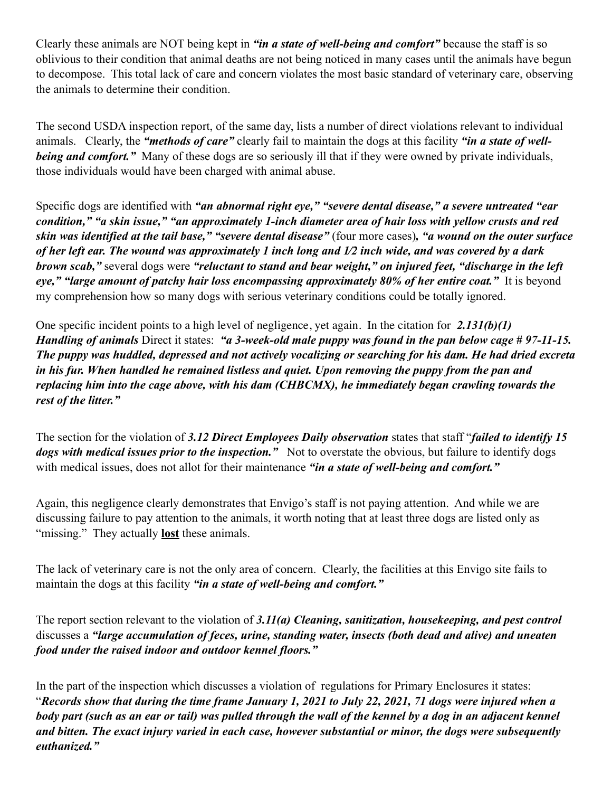Clearly these animals are NOT being kept in *"in a state of well-being and comfort"* because the staff is so oblivious to their condition that animal deaths are not being noticed in many cases until the animals have begun to decompose. This total lack of care and concern violates the most basic standard of veterinary care, observing the animals to determine their condition.

The second USDA inspection report, of the same day, lists a number of direct violations relevant to individual animals. Clearly, the *"methods of care"* clearly fail to maintain the dogs at this facility *"in a state of wellbeing and comfort.*" Many of these dogs are so seriously ill that if they were owned by private individuals, those individuals would have been charged with animal abuse.

Specific dogs are identified with *"an abnormal right eye," "severe dental disease," a severe untreated "ear condition," "a skin issue," "an approximately 1-inch diameter area of hair loss with yellow crusts and red skin was identified at the tail base," "severe dental disease"* (four more cases)*, "a wound on the outer surface of her left ear. The wound was approximately 1 inch long and 1⁄2 inch wide, and was covered by a dark brown scab,"* several dogs were *"reluctant to stand and bear weight," on injured feet, "discharge in the left eye," "large amount of patchy hair loss encompassing approximately 80% of her entire coat."* It is beyond my comprehension how so many dogs with serious veterinary conditions could be totally ignored.

One specific incident points to a high level of negligence, yet again. In the citation for *2.131(b)(1) Handling of animals* Direct it states: *"a 3-week-old male puppy was found in the pan below cage # 97-11-15. The puppy was huddled, depressed and not actively vocalizing or searching for his dam. He had dried excreta in his fur. When handled he remained listless and quiet. Upon removing the puppy from the pan and replacing him into the cage above, with his dam (CHBCMX), he immediately began crawling towards the rest of the litter."* 

The section for the violation of *3.12 Direct Employees Daily observation* states that staff "*failed to identify 15 dogs with medical issues prior to the inspection."* Not to overstate the obvious, but failure to identify dogs with medical issues, does not allot for their maintenance "in a state of well-being and comfort."

Again, this negligence clearly demonstrates that Envigo's staff is not paying attention. And while we are discussing failure to pay attention to the animals, it worth noting that at least three dogs are listed only as "missing." They actually **lost** these animals.

The lack of veterinary care is not the only area of concern. Clearly, the facilities at this Envigo site fails to maintain the dogs at this facility *"in a state of well-being and comfort."*

The report section relevant to the violation of *3.11(a) Cleaning, sanitization, housekeeping, and pest control* discusses a *"large accumulation of feces, urine, standing water, insects (both dead and alive) and uneaten food under the raised indoor and outdoor kennel floors."*

In the part of the inspection which discusses a violation of regulations for Primary Enclosures it states: "*Records show that during the time frame January 1, 2021 to July 22, 2021, 71 dogs were injured when a body part (such as an ear or tail) was pulled through the wall of the kennel by a dog in an adjacent kennel and bitten. The exact injury varied in each case, however substantial or minor, the dogs were subsequently euthanized."*